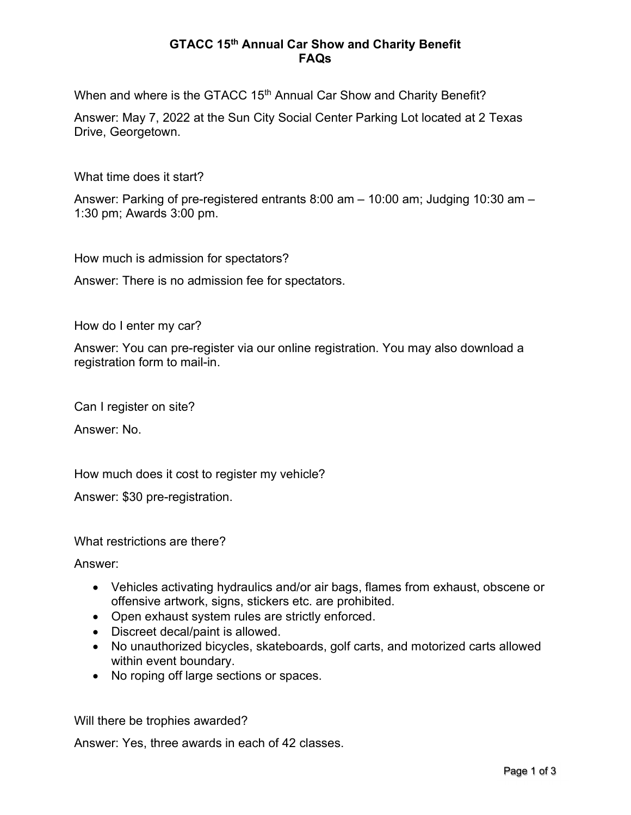## GTACC 15th Annual Car Show and Charity Benefit FAQs

When and where is the GTACC 15<sup>th</sup> Annual Car Show and Charity Benefit?

Answer: May 7, 2022 at the Sun City Social Center Parking Lot located at 2 Texas Drive, Georgetown.

What time does it start?

Answer: Parking of pre-registered entrants 8:00 am – 10:00 am; Judging 10:30 am – 1:30 pm; Awards 3:00 pm.

How much is admission for spectators?

Answer: There is no admission fee for spectators.

How do I enter my car?

Answer: You can pre-register via our online registration. You may also download a registration form to mail-in.

Can I register on site?

Answer: No.

How much does it cost to register my vehicle?

Answer: \$30 pre-registration.

What restrictions are there?

Answer:

- Vehicles activating hydraulics and/or air bags, flames from exhaust, obscene or offensive artwork, signs, stickers etc. are prohibited.
- Open exhaust system rules are strictly enforced.
- Discreet decal/paint is allowed.
- No unauthorized bicycles, skateboards, golf carts, and motorized carts allowed within event boundary.
- No roping off large sections or spaces.

Will there be trophies awarded?

Answer: Yes, three awards in each of 42 classes.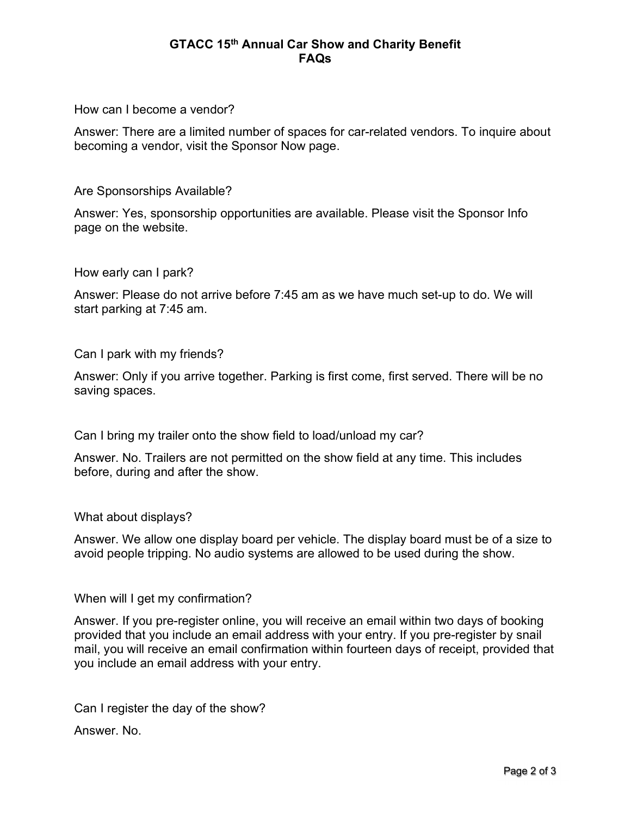## GTACC 15th Annual Car Show and Charity Benefit FAQs

How can I become a vendor?

Answer: There are a limited number of spaces for car-related vendors. To inquire about becoming a vendor, visit the Sponsor Now page.

Are Sponsorships Available?

Answer: Yes, sponsorship opportunities are available. Please visit the Sponsor Info page on the website.

How early can I park?

Answer: Please do not arrive before 7:45 am as we have much set-up to do. We will start parking at 7:45 am.

Can I park with my friends?

Answer: Only if you arrive together. Parking is first come, first served. There will be no saving spaces.

Can I bring my trailer onto the show field to load/unload my car?

Answer. No. Trailers are not permitted on the show field at any time. This includes before, during and after the show.

What about displays?

Answer. We allow one display board per vehicle. The display board must be of a size to avoid people tripping. No audio systems are allowed to be used during the show.

When will I get my confirmation?

Answer. If you pre-register online, you will receive an email within two days of booking provided that you include an email address with your entry. If you pre-register by snail mail, you will receive an email confirmation within fourteen days of receipt, provided that you include an email address with your entry.

Can I register the day of the show?

Answer. No.